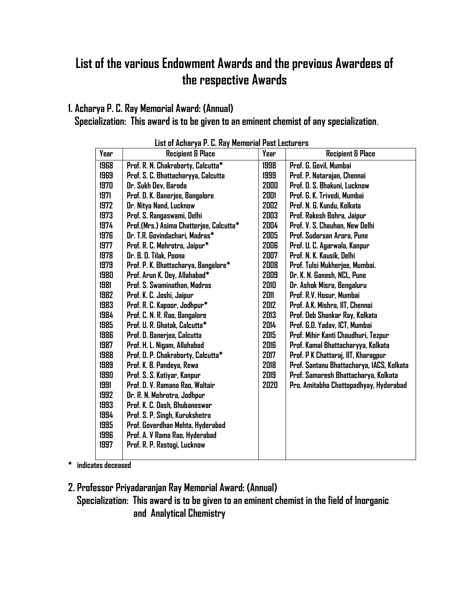## List of the various Endowment Awards and the previous Awardees of the respective Awards

#### 1. Acharya P. C. Ray Memorial Award: (Annual)

Specialization: This award is to be given to an eminent chemist of any specialization.

| Year | <b>Recipient &amp; Place</b>            | Year | <b>Recipient &amp; Place</b>              |
|------|-----------------------------------------|------|-------------------------------------------|
| 1968 | Prof. R. N. Chakraborty, Calcutta*      | 1998 | Prof. G. Govil, Mumbai                    |
| 1969 | Prof. S. C. Bhattacharyya, Calcutta     | 1999 | Prof. P. Natarajan, Chennai               |
| 1970 | Dr. Sukh Dev, Baroda                    | 2000 | Prof. D. S. Bhakuni, Lucknow              |
| 1971 | Prof. D. K. Banerjee, Bangalore         | 2001 | Prof. G. K. Trivedi, Mumbai               |
| 1972 | Dr. Nitya Nand, Lucknow                 | 2002 | Prof. N. G. Kundu, Kolkata                |
| 1973 | Prof. S. Rangaswami, Delhi              | 2003 | Prof. Rakesh Bohra, Jaipur                |
| 1974 | Prof.(Mrs.) Asima Chatterjee, Calcutta* | 2004 | Prof. V. S. Chauhan, New Delhi            |
| 1976 | Dr. T.R. Govindachari, Madras*          | 2005 | Prof. Sudarsan Arora, Pune                |
| 1977 | Prof. R. C. Mehrotra, Jaipur*           | 2006 | Prof. U. C. Agarwala, Kanpur              |
| 1978 | Dr. B. D. Tilak, Poona                  | 2007 | Prof. N. K. Kausik, Delhi                 |
| 1979 | Prof. P. K. Bhattacharya, Bangalore*    | 2008 | Prof. Tulsi Mukherjee, Mumbai.            |
| 1980 | Prof. Arun K. Dey, Allahabad*           | 2009 | Dr. K. N. Ganesh, NCL, Pune               |
| 1981 | Prof. S. Swaminathan, Madras            | 2010 | Dr. Ashok Misra, Bengaluru                |
| 1982 | Prof. K. C. Joshi, Jaipur               | 2011 | Prof. R.V. Hosur, Mumbai                  |
| 1983 | Prof. R. C. Kapoor, Jodhpur*            | 2012 | Prof. A.K. Mishra, IIT, Chennai           |
| 1984 | Prof. C. N. R. Rao, Bangalore           | 2013 | Prof. Deb Shankar Ray, Kolkata            |
| 1985 | Prof. U. R. Ghatak, Calcutta*           | 2014 | Prof. G.D. Yadav, ICT, Mumbai             |
| 1986 | Prof. D. Banerjea, Calcutta             | 2015 | Prof. Mihir Kanti Chaudhuri, Tezpur       |
| 1987 | Prof. H. L. Nigam, Allahabad            | 2016 | Prof. Kamal Bhattacharyya, Kolkata        |
| 1988 | Prof. D. P. Chakraborty, Calcutta*      | 2017 | Prof. P K Chattaraj, IIT, Kharagpur       |
| 1989 | Prof. K. B. Pandeya, Rewa               | 2018 | Prof. Santanu Bhattacharya, IACS, Kolkata |
| 1990 | Prof. S. S. Katiyar, Kanpur             | 2019 | Prof. Samaresh Bhattacharya, Kolkata      |
| 1991 | Prof. D. V. Ramana Rao, Waltair         | 2020 | Pro. Amitabha Chattopadhyay, Hyderabad    |
| 1992 | Dr. R. N. Mehrotra, Jodhpur             |      |                                           |
| 1993 | Prof. K. C. Dash, Bhubaneswar           |      |                                           |
| 1994 | Prof. S. P. Singh, Kurukshetra          |      |                                           |
| 1995 | Prof. Goverdhan Mehta, Hyderabad        |      |                                           |
| 1996 | Prof. A. V Rama Rao, Hyderabad          |      |                                           |
| 1997 | Prof. R. P. Rastogi, Lucknow            |      |                                           |
|      |                                         |      |                                           |

\* indicates deceased

2. Professor Priyadaranjan Ray Memorial Award: (Annual)

 Specialization: This award is to be given to an eminent chemist in the field of Inorganic and Analytical Chemistry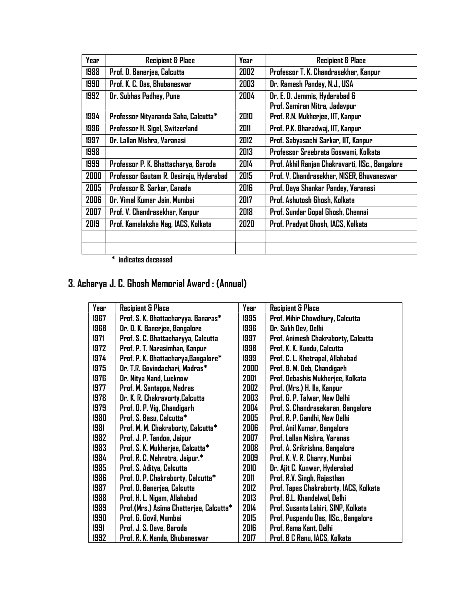| Year | <b>Recipient &amp; Place</b>            | Year | <b>Recipient &amp; Place</b>                     |
|------|-----------------------------------------|------|--------------------------------------------------|
| 1988 | Prof. D. Banerjea, Calcutta             | 2002 | Professor T. K. Chandrasekhar, Kanpur            |
| 1990 | Prof. K. C. Das, Bhubaneswar            | 2003 | Dr. Ramesh Pandey, N.J., USA                     |
| 1992 | Dr. Subhas Padhey, Pune                 | 2004 | Dr. E. D. Jemmis, Hyderabad &                    |
|      |                                         |      | Prof. Samiran Mitra, Jadavpur                    |
| 1994 | Professor Nityananda Saha, Calcutta*    | 2010 | Prof. R.N. Mukherjee, IIT, Kanpur                |
| 1996 | Professor H. Sigel, Switzerland         | 2011 | Prof. P.K. Bharadwaj, IIT, Kanpur                |
| 1997 | Dr. Lallan Mishra, Varanasi             | 2012 | Prof. Sabyasachi Sarkar, IIT, Kanpur             |
| 1998 |                                         | 2013 | Professor Sreebrata Goswami, Kolkata             |
| 1999 | Professor P. K. Bhattacharya, Baroda    | 2014 | Prof. Akhil Ranjan Chakravarti, IISc., Bangalore |
| 2000 | Professor Gautam R. Desiraju, Hyderabad | 2015 | Prof. V. Chandrasekhar, NISER, Bhuvaneswar       |
| 2005 | Professor B. Sarkar, Canada             | 2016 | Prof. Daya Shankar Pandey, Varanasi              |
| 2006 | Dr. Vimal Kumar Jain, Mumbai            | 2017 | Prof. Ashutosh Ghosh, Kolkata                    |
| 2007 | Prof. V. Chandrasekhar, Kanpur          | 2018 | Prof. Sundar Gopal Ghosh, Chennai                |
| 2019 | Prof. Kamalaksha Nag, IACS, Kolkata     | 2020 | Prof. Pradyut Ghosh, IACS, Kolkata               |
|      |                                         |      |                                                  |
|      |                                         |      |                                                  |

\* indicates deceased

## 3. Acharya J. C. Ghosh Memorial Award : (Annual)

| Year | <b>Recipient &amp; Place</b>            | Year | <b>Recipient &amp; Place</b>           |
|------|-----------------------------------------|------|----------------------------------------|
| 1967 | Prof. S. K. Bhattacharyya. Banaras*     | 1995 | Prof. Mihir Chowdhury, Calcutta        |
| 1968 | Dr. D. K. Banerjee, Bangalore           | 1996 | Dr. Sukh Dev, Delhi                    |
| 1971 | Prof. S. C. Bhattacharyya, Calcutta     | 1997 | Prof. Animesh Chakraborty, Calcutta    |
| 1972 | Prof. P. T. Narasimhan, Kanpur          | 1998 | Prof. K. K. Kundu, Calcutta            |
| 1974 | Prof. P. K. Bhattacharya, Bangalore*    | 1999 | Prof. C. L. Khetrapal, Allahabad       |
| 1975 | Dr. T.R. Govindachari, Madras*          | 2000 | Prof. B. M. Deb, Chandigarh            |
| 1976 | Dr. Nitya Nand, Lucknow                 | 2001 | Prof. Debashis Mukherjee, Kolkata      |
| 1977 | Prof. M. Santappa, Madras               | 2002 | Prof. (Mrs.) H. Ila, Kanpur            |
| 1978 | Dr. K. R. Chakravorty, Calcutta         | 2003 | Prof. G. P. Talwar, New Delhi          |
| 1979 | Prof. D. P. Vig, Chandigarh             | 2004 | Prof. S. Chandrasekaran, Bangalore     |
| 1980 | Prof. S. Basu, Calcutta*                | 2005 | Prof. R. P. Gandhi, New Delhi          |
| 1981 | Prof. M. M. Chakraborty, Calcutta*      | 2006 | Prof. Anil Kumar, Bangalore            |
| 1982 | Prof. J. P. Tandon, Jaipur              | 2007 | Prof. Lallan Mishra, Varanas           |
| 1983 | Prof. S. K. Mukherjee, Calcutta*        | 2008 | Prof. A. Srikrishna, Bangalore         |
| 1984 | Prof. R. C. Mehrotra, Jaipur.*          | 2009 | Prof. K. V. R. Charry, Mumbai          |
| 1985 | Prof. S. Aditya, Calcutta               | 2010 | Dr. Ajit C. Kunwar, Hyderabad          |
| 1986 | Prof. D. P. Chakraborty, Calcutta*      | 2011 | Prof. R.V. Singh, Rajasthan            |
| 1987 | Prof. D. Banerjea, Calcutta             | 2012 | Prof. Tapas Chakraborty, IACS, Kolkata |
| 1988 | Prof. H. L. Nigam, Allahabad            | 2013 | Prof. B.L. Khandelwal, Delhi           |
| 1989 | Prof.(Mrs.) Asima Chatterjee, Calcutta* | 2014 | Prof. Susanta Lahiri, SINP, Kolkata    |
| 1990 | Prof. G. Govil, Mumbai                  | 2015 | Prof. Puspendu Das, IISc., Bangalore   |
| 1991 | Prof. J. S. Dave, Baroda                | 2016 | Prof. Rama Kant, Delhi                 |
| 1992 | Prof. R. K. Nanda, Bhubaneswar          | 2017 | Prof. B C Ranu, IACS, Kolkata          |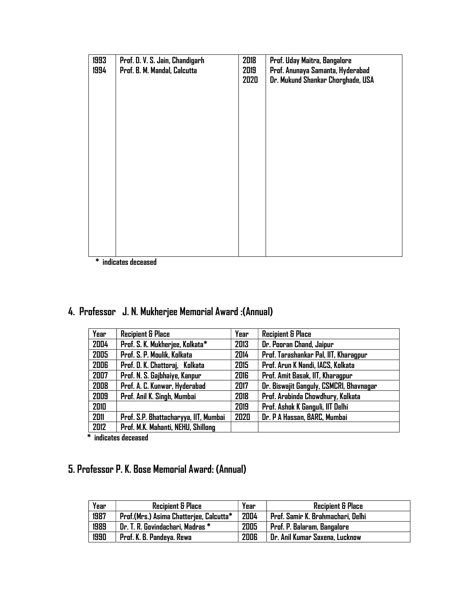| 1993<br>1994 | Prof. D. V. S. Jain, Chandigarh<br>Prof. B. M. Mandal, Calcutta | 2018<br>2019<br>2020 | Prof. Uday Maitra, Bangalore<br>Prof. Anunaya Samanta, Hyderabad<br>Dr. Mukund Shankar Chorghade, USA |
|--------------|-----------------------------------------------------------------|----------------------|-------------------------------------------------------------------------------------------------------|
| $\mathbf{r}$ |                                                                 |                      |                                                                                                       |

\* indicates deceased

### 4. Professor J. N. Mukherjee Memorial Award :(Annual)

| Year | <b>Recipient &amp; Place</b>          | Year | <b>Recipient &amp; Place</b>            |
|------|---------------------------------------|------|-----------------------------------------|
| 2004 | Prof. S. K. Mukherjee, Kolkata*       | 2013 | Dr. Pooran Chand, Jaipur                |
| 2005 | Prof. S. P. Moulik, Kolkata           | 2014 | Prof. Tarashankar Pal, IIT, Kharagpur   |
| 2006 | Prof. D. K. Chattoraj, Kolkata        | 2015 | Prof. Arun K Nandi, IACS, Kolkata       |
| 2007 | Prof. N. S. Gajbhaiye, Kanpur         | 2016 | Prof. Amit Basak, IIT, Kharagpur        |
| 2008 | Prof. A. C. Kunwar, Hyderabad         | 2017 | Dr. Biswajit Ganguly, CSMCRI, Bhavnagar |
| 2009 | Prof. Anil K. Singh, Mumbai           | 2018 | Prof. Arabinda Chowdhury, Kolkata       |
| 2010 |                                       | 2019 | Prof. Ashok K Ganguli, IIT Delhi        |
| 2011 | Prof. S.P. Bhattacharyya, IIT, Mumbai | 2020 | Dr. P A Hassan, BARC, Mumbai            |
| 2012 | Prof. M.K. Mahanti, NEHU, Shillong    |      |                                         |

\* indicates deceased

### 5. Professor P. K. Bose Memorial Award: (Annual)

| Year | <b>Recipient &amp; Place</b>            | Year | <b>Recipient &amp; Place</b>      |
|------|-----------------------------------------|------|-----------------------------------|
| 1987 | Prof.(Mrs.) Asima Chatterjee, Calcutta* | 2004 | Prof. Samir K. Brahmachari, Delhi |
| 1989 | Dr. T. R. Govindachari, Madras *        | 2005 | Prof. P. Balaram, Bangalore       |
| 1990 | Prof. K. B. Pandeya. Rewa               | 2006 | Dr. Anil Kumar Saxena, Lucknow    |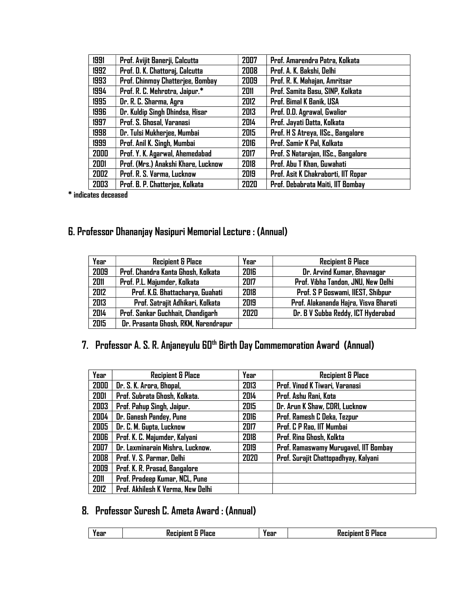| 1991 | Prof. Avijit Banerji, Calcutta      | 2007        | Prof. Amarendra Patra, Kolkata      |
|------|-------------------------------------|-------------|-------------------------------------|
| 1992 | Prof. D. K. Chattoraj, Calcutta     | 2008        | Prof. A. K. Bakshi, Delhi           |
| 1993 | Prof. Chinmoy Chatterjee, Bombay    | 2009        | Prof. R. K. Mahajan, Amritsar       |
| 1994 | Prof. R. C. Mehrotra, Jaipur.*      | 2011        | Prof. Samita Basu, SINP, Kolkata    |
| 1995 | Dr. R. C. Sharma, Agra              | 2012        | Prof. Bimal K Banik, USA            |
| 1996 | Dr. Kuldip Singh Dhindsa, Hisar     | 2013        | Prof. D.D. Agrawal, Gwalior         |
| 1997 | Prof. S. Ghosal, Varanasi           | 2014        | Prof. Jayati Datta, Kolkata         |
| 1998 | Dr. Tulsi Mukherjee, Mumbai         | 2015        | Prof. H S Atreya, IISc., Bangalore  |
| 1999 | Prof. Anil K. Singh, Mumbai         | <b>2016</b> | Prof. Samir K Pal, Kolkata          |
| 2000 | Prof. Y. K. Agarwal, Ahemedabad     | 2017        | Prof. S Natarajan, IISc., Bangalore |
| 2001 | Prof. (Mrs.) Anakshi Khare, Lucknow | 2018        | Prof. Abu T Khan, Guwahati          |
| 2002 | Prof. R. S. Varma, Lucknow          | 2019        | Prof. Asit K Chakraborti, IIT Ropar |
| 2003 | Prof. B. P. Chatterjee, Kolkata     | 2020        | Prof. Debabrata Maiti, IIT Bombay   |

\* indicates deceased

### 6. Professor Dhananjay Nasipuri Memorial Lecture : (Annual)

| Year | <b>Recipient &amp; Place</b>         | Year | <b>Recipient &amp; Place</b>          |
|------|--------------------------------------|------|---------------------------------------|
| 2009 | Prof. Chandra Kanta Ghosh, Kolkata   | 2016 | Dr. Arvind Kumar, Bhavnagar           |
| 2011 | Prof. P.L. Majumder, Kolkata         | 2017 | Prof. Vibha Tandon, JNU, New Delhi    |
| 2012 | Prof. K.G. Bhattacharya, Guahati     | 2018 | Prof. S P Goswami, IIEST, Shibpur     |
| 2013 | Prof. Satrajit Adhikari, Kolkata     | 2019 | Prof. Alakananda Hajra, Visva Bharati |
| 2014 | Prof. Sankar Guchhait, Chandigarh    | 2020 | Dr. B V Subba Reddy, ICT Hyderabad    |
| 2015 | Dr. Prasanta Ghosh, RKM, Narendrapur |      |                                       |

## 7. Professor A. S. R. Anjaneyulu 60<sup>th</sup> Birth Day Commemoration Award (Annual)

| Year | <b>Recipient &amp; Place</b>      | Year | <b>Recipient &amp; Place</b>          |
|------|-----------------------------------|------|---------------------------------------|
| 2000 | Dr. S. K. Arora, Bhopal,          | 2013 | Prof. Vinod K Tiwari, Varanasi        |
| 2001 | Prof. Subrata Ghosh, Kolkata.     | 2014 | Prof. Ashu Rani, Kota                 |
| 2003 | Prof. Pahup Singh, Jaipur.        | 2015 | Dr. Arun K Shaw, CDRI, Lucknow        |
| 2004 | Dr. Ganesh Pandey, Pune           | 2016 | Prof. Ramesh C Deka, Tezpur           |
| 2005 | Dr. C. M. Gupta, Lucknow          | 2017 | Prof. C P Rao, IIT Mumbai             |
| 2006 | Prof. K. C. Majumder, Kalyani     | 2018 | Prof. Rina Ghosh, Kolkta              |
| 2007 | Dr. Laxminarain Mishra, Lucknow.  | 2019 | Prof. Ramaswamy Murugavel, IIT Bombay |
| 2008 | Prof. V. S. Parmar, Delhi         | 2020 | Prof. Surajit Chattopadhyay, Kalyani  |
| 2009 | Prof. K. R. Prasad, Bangalore     |      |                                       |
| 2011 | Prof. Pradeep Kumar, NCL, Pune    |      |                                       |
| 2012 | Prof. Akhilesh K Verma, New Delhi |      |                                       |

### 8. Professor Suresh C. Ameta Award : (Annual)

| Year | Year | 'idCe |
|------|------|-------|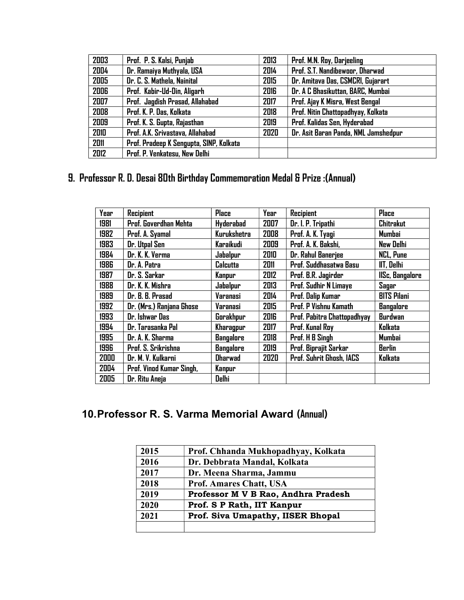| 2003 | Prof. P. S. Kalsi, Punjab               | 2013        | Prof. M.N. Roy, Darjeeling           |
|------|-----------------------------------------|-------------|--------------------------------------|
| 2004 | Dr. Ramaiya Muthyala, USA               | 2014        | Prof. S.T. Nandibewoor, Dharwad      |
| 2005 | Dr. C. S. Mathela, Nainital             | 2015        | Dr. Amitava Das, CSMCRI, Gujarart    |
| 2006 | Prof. Kabir-Ud-Din, Aligarh             | <b>2016</b> | Dr. A C Bhasikuttan, BARC, Mumbai    |
| 2007 | Prof. Jagdish Prasad, Allahabad         | 2017        | Prof. Ajay K Misra, West Bengal      |
| 2008 | Prof. K. P. Das, Kolkata                | 2018        | Prof. Nitin Chattopadhyay, Kolkata   |
| 2009 | Prof. K. S. Gupta, Rajasthan            | 2019        | Prof. Kalidas Sen, Hyderabad         |
| 2010 | Prof. A.K. Srivastava, Allahabad        | 2020        | Dr. Asit Baran Panda, NML Jamshedpur |
| 2011 | Prof. Pradeep K Sengupta, SINP, Kolkata |             |                                      |
| 2012 | Prof. P. Venkatesu, New Delhi           |             |                                      |

## 9. Professor R. D. Desai 80th Birthday Commemoration Medal & Prize :(Annual)

| Year | Recipient                | <b>Place</b>       | Year | <b>Recipient</b>             | <b>Place</b>           |
|------|--------------------------|--------------------|------|------------------------------|------------------------|
| 1981 | Prof. Goverdhan Mehta    | <b>Hyderabad</b>   | 2007 | Dr. I. P. Tripathi           | <b>Chitrakut</b>       |
| 1982 | Prof. A. Syamal          | <b>Kurukshetra</b> | 2008 | Prof. A. K. Tyagi            | <b>Mumbai</b>          |
| 1983 | Dr. Utpal Sen            | Karaikudi          | 2009 | Prof. A. K. Bakshi,          | <b>New Delhi</b>       |
| 1984 | Dr. K. K. Verma          | Jabalpur           | 2010 | Dr. Rahul Banerjee           | <b>NCL, Pune</b>       |
| 1986 | Dr. A. Patra             | <b>Calcutta</b>    | 2011 | Prof. Suddhasatwa Basu       | <b>IIT, Delhi</b>      |
| 1987 | Dr. S. Sarkar            | Kanpur             | 2012 | Prof. B.R. Jagirder          | <b>IISc, Bangalore</b> |
| 1988 | Dr. K. K. Mishra         | Jabalpur           | 2013 | Prof. Sudhir N Limaye        | Sagar                  |
| 1989 | Dr. B. B. Prasad         | Varanasi           | 2014 | Prof. Dalip Kumar            | <b>BITS Pilani</b>     |
| 1992 | Dr. (Mrs.) Ranjana Ghose | <b>Varanasi</b>    | 2015 | <b>Prof. P Vishnu Kamath</b> | <b>Bangalore</b>       |
| 1993 | Dr. Ishwar Das           | Gorakhpur          | 2016 | Prof. Pabitra Chattopadhyay  | <b>Burdwan</b>         |
| 1994 | Dr. Tarasanka Pal        | Kharagpur          | 2017 | Prof. Kunal Roy              | Kolkata                |
| 1995 | Dr. A. K. Sharma         | <b>Bangalore</b>   | 2018 | Prof. H B Singh              | Mumbai                 |
| 1996 | Prof. S. Srikrishna      | <b>Bangalore</b>   | 2019 | Prof. Biprajit Sarkar        | <b>Berlin</b>          |
| 2000 | Dr. M. V. Kulkarni       | <b>Dharwad</b>     | 2020 | Prof. Suhrit Ghosh, IACS     | Kolkata                |
| 2004 | Prof. Vinod Kumar Singh, | Kanpur             |      |                              |                        |
| 2005 | Dr. Ritu Aneja           | Delhi              |      |                              |                        |

#### 10. Professor R. S. Varma Memorial Award (Annual)

| 2015 | Prof. Chhanda Mukhopadhyay, Kolkata |
|------|-------------------------------------|
| 2016 | Dr. Debbrata Mandal, Kolkata        |
| 2017 | Dr. Meena Sharma, Jammu             |
| 2018 | <b>Prof. Amares Chatt, USA</b>      |
| 2019 | Professor M V B Rao, Andhra Pradesh |
| 2020 | Prof. S P Rath, IIT Kanpur          |
| 2021 | Prof. Siva Umapathy, IISER Bhopal   |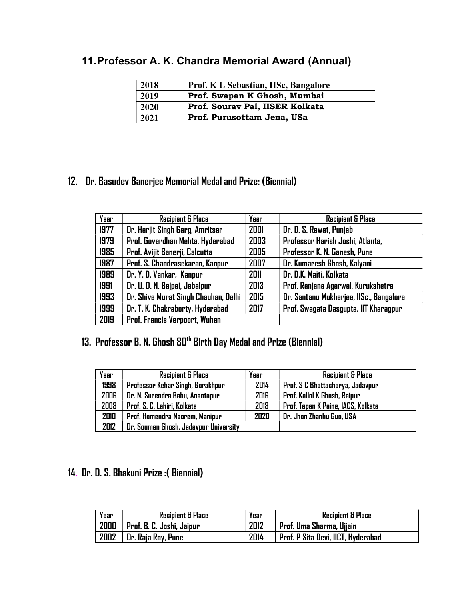# 11. Professor A. K. Chandra Memorial Award (Annual)

| 2018 | Prof. K L Sebastian, IISc, Bangalore |
|------|--------------------------------------|
| 2019 | Prof. Swapan K Ghosh, Mumbai         |
| 2020 | Prof. Sourav Pal, IISER Kolkata      |
| 2021 | Prof. Purusottam Jena, USa           |
|      |                                      |

#### 12. Dr. Basudev Banerjee Memorial Medal and Prize: (Biennial)

| Year | <b>Recipient &amp; Place</b>         | Year | <b>Recipient &amp; Place</b>            |
|------|--------------------------------------|------|-----------------------------------------|
| 1977 | Dr. Harjit Singh Garg, Amritsar      | 2001 | Dr. D. S. Rawat, Punjab                 |
| 1979 | Prof. Goverdhan Mehta, Hyderabad     | 2003 | Professor Harish Joshi, Atlanta,        |
| 1985 | Prof. Avijit Banerji, Calcutta       | 2005 | Professor K. N. Ganesh, Pune            |
| 1987 | Prof. S. Chandrasekaran, Kanpur      | 2007 | Dr. Kumaresh Ghosh, Kalyani             |
| 1989 | Dr. Y. D. Vankar, Kanpur             | 2011 | Dr. D.K. Maiti, Kolkata                 |
| 1991 | Dr. U. D. N. Bajpai, Jabalpur        | 2013 | Prof. Ranjana Agarwal, Kurukshetra      |
| 1993 | Dr. Shive Murat Singh Chauhan, Delhi | 2015 | Dr. Santanu Mukherjee, IISc., Bangalore |
| 1999 | Dr. T. K. Chakraborty, Hyderabad     | 2017 | Prof. Swagata Dasgupta, IIT Kharagpur   |
| 2019 | Prof. Francis Verpoort, Wuhan        |      |                                         |

## 13. Professor B. N. Ghosh 80<sup>th</sup> Birth Day Medal and Prize (Biennial)

| Year | <b>Recipient &amp; Place</b>          | Year | <b>Recipient &amp; Place</b>       |
|------|---------------------------------------|------|------------------------------------|
| 1998 | Professor Kehar Singh, Gorakhpur      | 2014 | Prof. S C Bhattacharya, Jadavpur   |
| 2006 | Dr. N. Surendra Babu, Anantapur       | 2016 | Prof. Kallol K Ghosh, Raipur       |
| 2008 | Prof. S. C. Lahiri, Kolkata           | 2018 | Prof. Tapan K Paine, IACS, Kolkata |
| 2010 | Prof. Homendra Naorem, Manipur        | 2020 | Dr. Jhon Zhanhu Guo, USA           |
| 2012 | Dr. Soumen Ghosh, Jadavpur University |      |                                    |

#### 14. Dr. D. S. Bhakuni Prize :( Biennial)

| Year | <b>Recipient &amp; Place</b>     | Year | <b>Recipient &amp; Place</b>       |
|------|----------------------------------|------|------------------------------------|
| 2000 | <b>Prof. B. C. Joshi, Jaipur</b> | 2012 | Prof. Uma Sharma, Ujjain           |
| 2002 | Dr. Raja Roy, Pune               | 2014 | Prof. P Sita Devi, IICT, Hyderabad |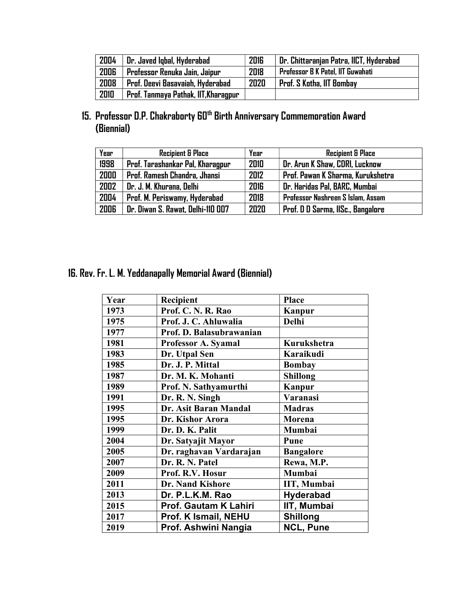| 2004 | Dr. Javed Igbal, Hyderabad           | <b>2016</b> | Dr. Chittaranjan Patra, IICT, Hyderabad |
|------|--------------------------------------|-------------|-----------------------------------------|
| 2006 | Professor Renuka Jain, Jaipur        | 2018        | Professor B K Patel, IIT Guwahati       |
| 2008 | Prof. Deevi Basavaiah, Hyderabad     | 2020        | <b>Prof. S Kotha, IIT Bombay</b>        |
| 2010 | Prof. Tanmaya Pathak, IIT, Kharagpur |             |                                         |

#### 15. Professor D.P. Chakraborty 60<sup>th</sup> Birth Anniversary Commemoration Award (Biennial)

| Year | <b>Recipient &amp; Place</b>      | Year | <b>Recipient &amp; Place</b>      |
|------|-----------------------------------|------|-----------------------------------|
| 1998 | Prof. Tarashankar Pal, Kharagpur  | 2010 | Dr. Arun K Shaw, CDRI, Lucknow    |
| 2000 | Prof. Ramesh Chandra, Jhansi      | 2012 | Prof. Pawan K Sharma, Kurukshetra |
| 2002 | Dr. J. M. Khurana, Delhi          | 2016 | Dr. Haridas Pal, BARC, Mumbai     |
| 2004 | Prof. M. Periswamy, Hyderabad     | 2018 | Professor Nashreen S Islam, Assam |
| 2006 | Dr. Diwan S. Rawat, Delhi-110 007 | 2020 | Prof. D D Sarma, IISc., Bangalore |

### 16. Rev. Fr. L. M. Yeddanapally Memorial Award (Biennial)

| Year | Recipient                | <b>Place</b>     |
|------|--------------------------|------------------|
| 1973 | Prof. C. N. R. Rao       | Kanpur           |
| 1975 | Prof. J. C. Ahluwalia    | Delhi            |
| 1977 | Prof. D. Balasubrawanian |                  |
| 1981 | Professor A. Syamal      | Kurukshetra      |
| 1983 | Dr. Utpal Sen            | Karaikudi        |
| 1985 | Dr. J. P. Mittal         | <b>Bombay</b>    |
| 1987 | Dr. M. K. Mohanti        | <b>Shillong</b>  |
| 1989 | Prof. N. Sathyamurthi    | Kanpur           |
| 1991 | Dr. R. N. Singh          | Varanasi         |
| 1995 | Dr. Asit Baran Mandal    | <b>Madras</b>    |
| 1995 | Dr. Kishor Arora         | <b>Morena</b>    |
| 1999 | Dr. D. K. Palit          | Mumbai           |
| 2004 | Dr. Satyajit Mayor       | Pune             |
| 2005 | Dr. raghavan Vardarajan  | <b>Bangalore</b> |
| 2007 | Dr. R. N. Patel          | Rewa, M.P.       |
| 2009 | Prof. R.V. Hosur         | Mumbai           |
| 2011 | <b>Dr. Nand Kishore</b>  | IIT, Mumbai      |
| 2013 | Dr. P.L.K.M. Rao         | <b>Hyderabad</b> |
| 2015 | Prof. Gautam K Lahiri    | IIT, Mumbai      |
| 2017 | Prof. K Ismail, NEHU     | <b>Shillong</b>  |
| 2019 | Prof. Ashwini Nangia     | NCL, Pune        |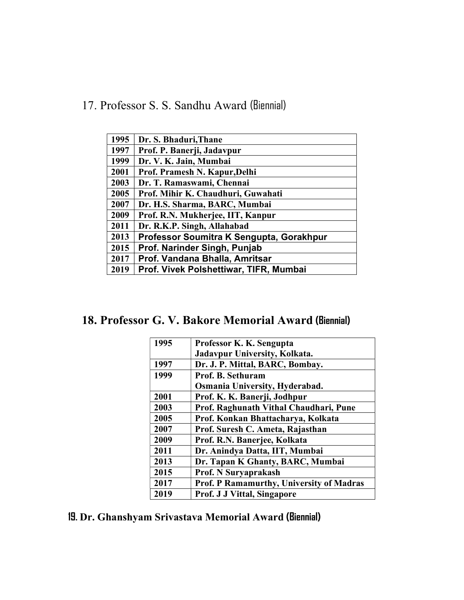17. Professor S. S. Sandhu Award (Biennial)

| 1995 | Dr. S. Bhaduri, Thane                    |
|------|------------------------------------------|
| 1997 | Prof. P. Banerji, Jadavpur               |
| 1999 | Dr. V. K. Jain, Mumbai                   |
| 2001 | Prof. Pramesh N. Kapur, Delhi            |
| 2003 | Dr. T. Ramaswami, Chennai                |
| 2005 | Prof. Mihir K. Chaudhuri, Guwahati       |
| 2007 | Dr. H.S. Sharma, BARC, Mumbai            |
| 2009 | Prof. R.N. Mukherjee, IIT, Kanpur        |
| 2011 | Dr. R.K.P. Singh, Allahabad              |
| 2013 | Professor Soumitra K Sengupta, Gorakhpur |
| 2015 | Prof. Narinder Singh, Punjab             |
| 2017 | Prof. Vandana Bhalla, Amritsar           |
| 2019 | Prof. Vivek Polshettiwar, TIFR, Mumbai   |

18. Professor G. V. Bakore Memorial Award (Biennial)

| 1995 | Professor K. K. Sengupta                 |
|------|------------------------------------------|
|      | Jadavpur University, Kolkata.            |
| 1997 | Dr. J. P. Mittal, BARC, Bombay.          |
| 1999 | <b>Prof. B. Sethuram</b>                 |
|      | Osmania University, Hyderabad.           |
| 2001 | Prof. K. K. Banerji, Jodhpur             |
| 2003 | Prof. Raghunath Vithal Chaudhari, Pune   |
| 2005 | Prof. Konkan Bhattacharya, Kolkata       |
| 2007 | Prof. Suresh C. Ameta, Rajasthan         |
| 2009 | Prof. R.N. Banerjee, Kolkata             |
| 2011 | Dr. Anindya Datta, IIT, Mumbai           |
| 2013 | Dr. Tapan K Ghanty, BARC, Mumbai         |
| 2015 | <b>Prof. N Suryaprakash</b>              |
| 2017 | Prof. P Ramamurthy, University of Madras |
| 2019 | <b>Prof. J J Vittal, Singapore</b>       |

19. Dr. Ghanshyam Srivastava Memorial Award (Biennial)